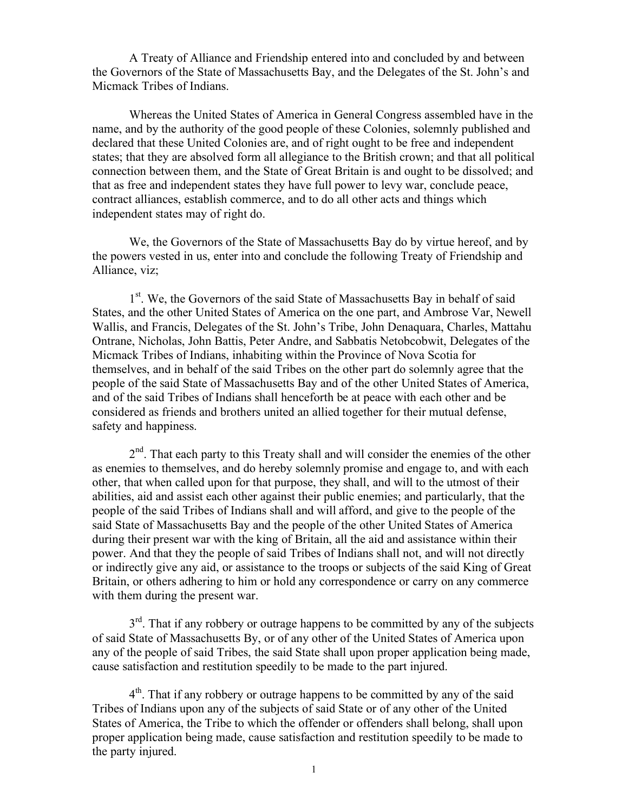A Treaty of Alliance and Friendship entered into and concluded by and between the Governors of the State of Massachusetts Bay, and the Delegates of the St. John's and Micmack Tribes of Indians.

Whereas the United States of America in General Congress assembled have in the name, and by the authority of the good people of these Colonies, solemnly published and declared that these United Colonies are, and of right ought to be free and independent states; that they are absolved form all allegiance to the British crown; and that all political connection between them, and the State of Great Britain is and ought to be dissolved; and that as free and independent states they have full power to levy war, conclude peace, contract alliances, establish commerce, and to do all other acts and things which independent states may of right do.

We, the Governors of the State of Massachusetts Bay do by virtue hereof, and by the powers vested in us, enter into and conclude the following Treaty of Friendship and Alliance, viz;

1<sup>st</sup>. We, the Governors of the said State of Massachusetts Bay in behalf of said States, and the other United States of America on the one part, and Ambrose Var, Newell Wallis, and Francis, Delegates of the St. John's Tribe, John Denaquara, Charles, Mattahu Ontrane, Nicholas, John Battis, Peter Andre, and Sabbatis Netobcobwit, Delegates of the Micmack Tribes of Indians, inhabiting within the Province of Nova Scotia for themselves, and in behalf of the said Tribes on the other part do solemnly agree that the people of the said State of Massachusetts Bay and of the other United States of America, and of the said Tribes of Indians shall henceforth be at peace with each other and be considered as friends and brothers united an allied together for their mutual defense, safety and happiness.

2<sup>nd</sup>. That each party to this Treaty shall and will consider the enemies of the other as enemies to themselves, and do hereby solemnly promise and engage to, and with each other, that when called upon for that purpose, they shall, and will to the utmost of their abilities, aid and assist each other against their public enemies; and particularly, that the people of the said Tribes of Indians shall and will afford, and give to the people of the said State of Massachusetts Bay and the people of the other United States of America during their present war with the king of Britain, all the aid and assistance within their power. And that they the people of said Tribes of Indians shall not, and will not directly or indirectly give any aid, or assistance to the troops or subjects of the said King of Great Britain, or others adhering to him or hold any correspondence or carry on any commerce with them during the present war.

 $3<sup>rd</sup>$ . That if any robbery or outrage happens to be committed by any of the subjects of said State of Massachusetts By, or of any other of the United States of America upon any of the people of said Tribes, the said State shall upon proper application being made, cause satisfaction and restitution speedily to be made to the part injured.

 $4<sup>th</sup>$ . That if any robbery or outrage happens to be committed by any of the said Tribes of Indians upon any of the subjects of said State or of any other of the United States of America, the Tribe to which the offender or offenders shall belong, shall upon proper application being made, cause satisfaction and restitution speedily to be made to the party injured.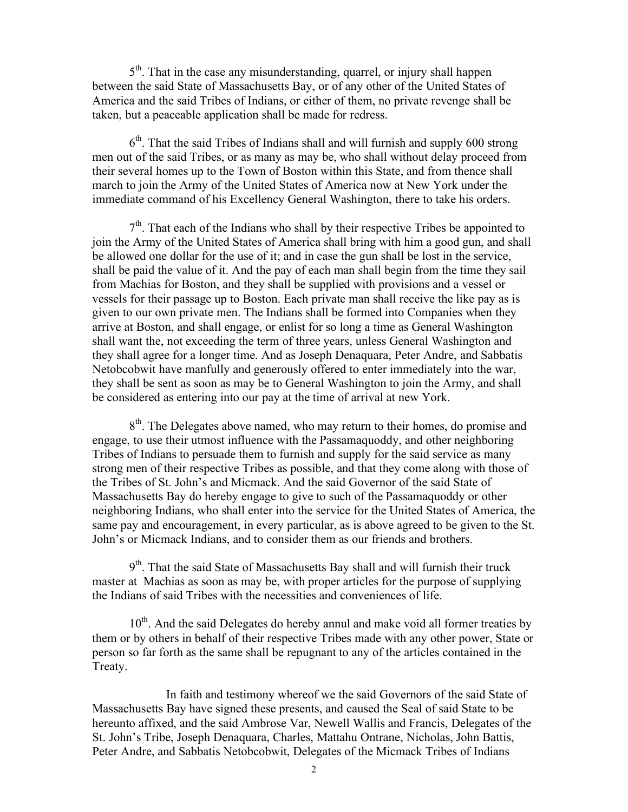5<sup>th</sup>. That in the case any misunderstanding, quarrel, or injury shall happen between the said State of Massachusetts Bay, or of any other of the United States of America and the said Tribes of Indians, or either of them, no private revenge shall be taken, but a peaceable application shall be made for redress.

 $6<sup>th</sup>$ . That the said Tribes of Indians shall and will furnish and supply 600 strong men out of the said Tribes, or as many as may be, who shall without delay proceed from their several homes up to the Town of Boston within this State, and from thence shall march to join the Army of the United States of America now at New York under the immediate command of his Excellency General Washington, there to take his orders.

 $7<sup>th</sup>$ . That each of the Indians who shall by their respective Tribes be appointed to join the Army of the United States of America shall bring with him a good gun, and shall be allowed one dollar for the use of it; and in case the gun shall be lost in the service, shall be paid the value of it. And the pay of each man shall begin from the time they sail from Machias for Boston, and they shall be supplied with provisions and a vessel or vessels for their passage up to Boston. Each private man shall receive the like pay as is given to our own private men. The Indians shall be formed into Companies when they arrive at Boston, and shall engage, or enlist for so long a time as General Washington shall want the, not exceeding the term of three years, unless General Washington and they shall agree for a longer time. And as Joseph Denaquara, Peter Andre, and Sabbatis Netobcobwit have manfully and generously offered to enter immediately into the war, they shall be sent as soon as may be to General Washington to join the Army, and shall be considered as entering into our pay at the time of arrival at new York.

8<sup>th</sup>. The Delegates above named, who may return to their homes, do promise and engage, to use their utmost influence with the Passamaquoddy, and other neighboring Tribes of Indians to persuade them to furnish and supply for the said service as many strong men of their respective Tribes as possible, and that they come along with those of the Tribes of St. John's and Micmack. And the said Governor of the said State of Massachusetts Bay do hereby engage to give to such of the Passamaquoddy or other neighboring Indians, who shall enter into the service for the United States of America, the same pay and encouragement, in every particular, as is above agreed to be given to the St. John's or Micmack Indians, and to consider them as our friends and brothers.

9<sup>th</sup>. That the said State of Massachusetts Bay shall and will furnish their truck master at Machias as soon as may be, with proper articles for the purpose of supplying the Indians of said Tribes with the necessities and conveniences of life.

10<sup>th</sup>. And the said Delegates do hereby annul and make void all former treaties by them or by others in behalf of their respective Tribes made with any other power, State or person so far forth as the same shall be repugnant to any of the articles contained in the Treaty.

In faith and testimony whereof we the said Governors of the said State of Massachusetts Bay have signed these presents, and caused the Seal of said State to be hereunto affixed, and the said Ambrose Var, Newell Wallis and Francis, Delegates of the St. John's Tribe, Joseph Denaquara, Charles, Mattahu Ontrane, Nicholas, John Battis, Peter Andre, and Sabbatis Netobcobwit, Delegates of the Micmack Tribes of Indians